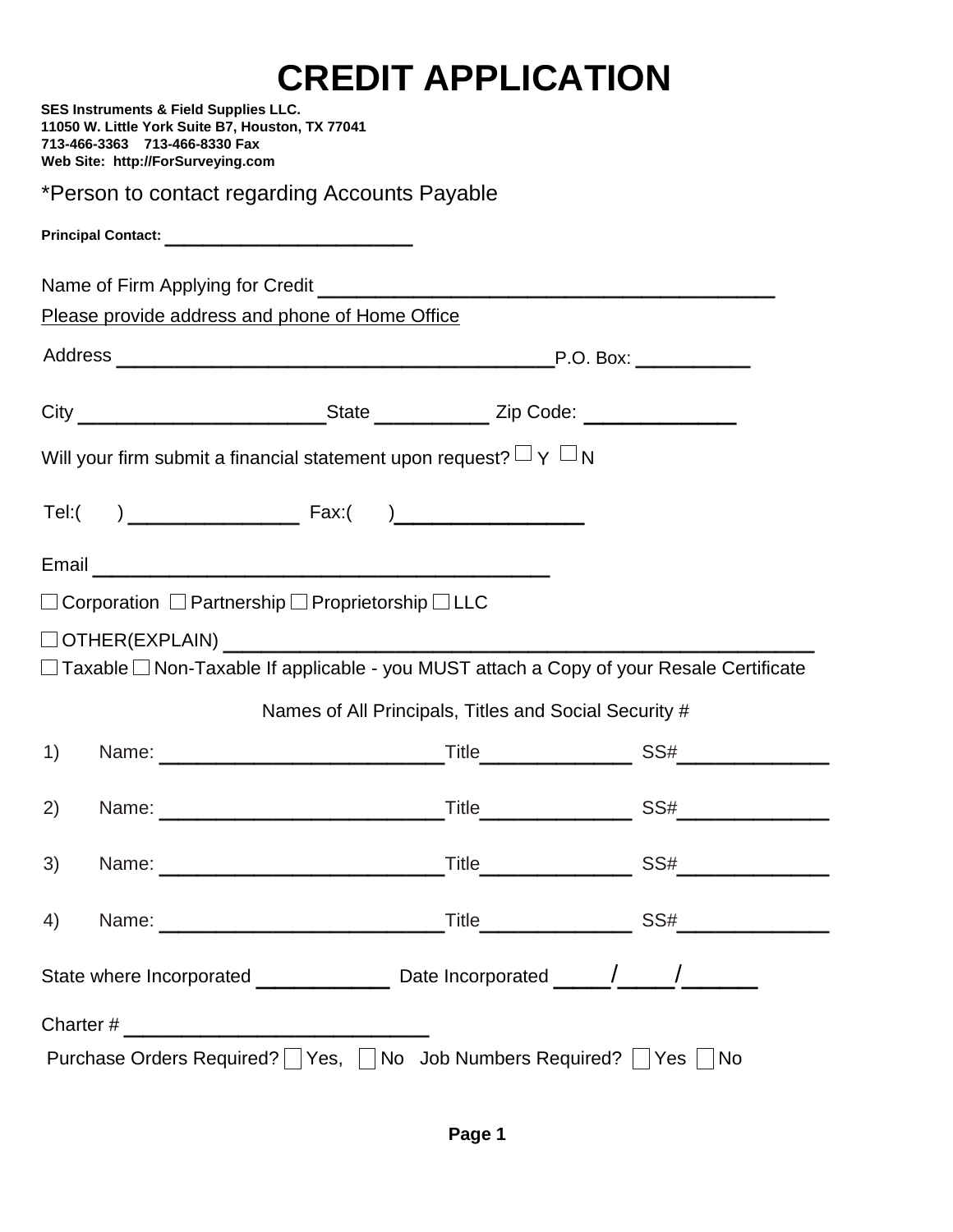## **CREDIT APPLICATION**

|                                                                                                      |  | <b>SES Instruments &amp; Field Supplies LLC.</b><br>11050 W. Little York Suite B7, Houston, TX 77041<br>713-466-3363 713-466-8330 Fax<br>Web Site: http://ForSurveying.com                                                    |  |  |  |  |
|------------------------------------------------------------------------------------------------------|--|-------------------------------------------------------------------------------------------------------------------------------------------------------------------------------------------------------------------------------|--|--|--|--|
|                                                                                                      |  | *Person to contact regarding Accounts Payable                                                                                                                                                                                 |  |  |  |  |
|                                                                                                      |  |                                                                                                                                                                                                                               |  |  |  |  |
|                                                                                                      |  |                                                                                                                                                                                                                               |  |  |  |  |
|                                                                                                      |  | Please provide address and phone of Home Office                                                                                                                                                                               |  |  |  |  |
|                                                                                                      |  |                                                                                                                                                                                                                               |  |  |  |  |
|                                                                                                      |  |                                                                                                                                                                                                                               |  |  |  |  |
| Will your firm submit a financial statement upon request? $\Box$ Y $\Box$ N                          |  |                                                                                                                                                                                                                               |  |  |  |  |
|                                                                                                      |  |                                                                                                                                                                                                                               |  |  |  |  |
|                                                                                                      |  |                                                                                                                                                                                                                               |  |  |  |  |
|                                                                                                      |  | $\Box$ Corporation $\Box$ Partnership $\Box$ Proprietorship $\Box$ LLC                                                                                                                                                        |  |  |  |  |
|                                                                                                      |  |                                                                                                                                                                                                                               |  |  |  |  |
| $\Box$ Taxable $\Box$ Non-Taxable If applicable - you MUST attach a Copy of your Resale Certificate  |  |                                                                                                                                                                                                                               |  |  |  |  |
|                                                                                                      |  | Names of All Principals, Titles and Social Security #                                                                                                                                                                         |  |  |  |  |
| 1)                                                                                                   |  |                                                                                                                                                                                                                               |  |  |  |  |
| 2)                                                                                                   |  | Name: Name: Name: Name: Name: Name: Name: Name: Name: Name: Name: Name: Name: Name: Name: Name: Name: Name: Name: Name: Name: Name: Name: Name: Name: Name: Name: Name: Name: Name: Name: Name: Name: Name: Name: Name: Name: |  |  |  |  |
| 3)                                                                                                   |  |                                                                                                                                                                                                                               |  |  |  |  |
| 4)                                                                                                   |  |                                                                                                                                                                                                                               |  |  |  |  |
| State where Incorporated _________________________________Date Incorporated ______/_________________ |  |                                                                                                                                                                                                                               |  |  |  |  |
|                                                                                                      |  |                                                                                                                                                                                                                               |  |  |  |  |
| Purchase Orders Required?     Yes,     No Job Numbers Required?   Yes    <br><b>No</b>               |  |                                                                                                                                                                                                                               |  |  |  |  |